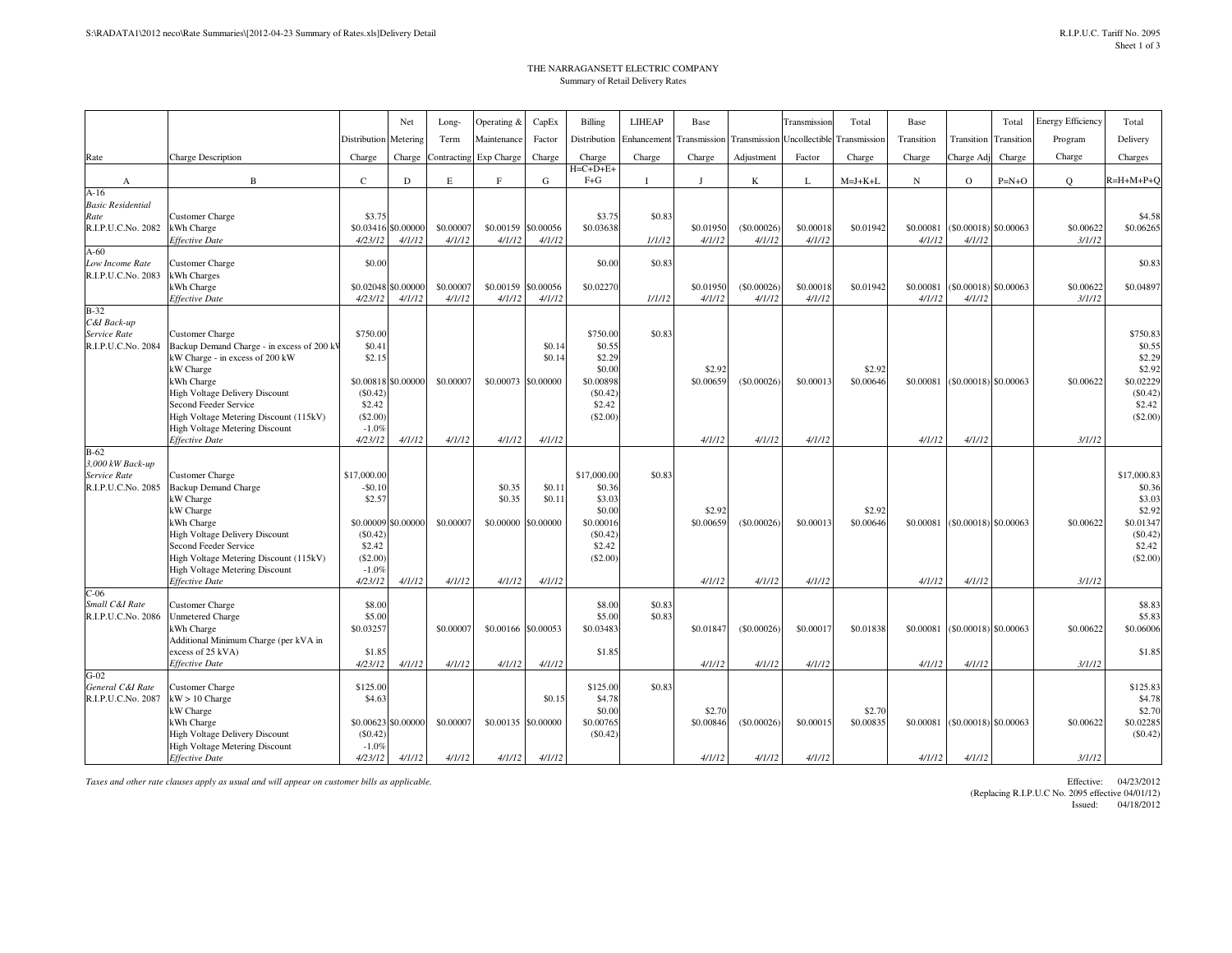## THE NARRAGANSETT ELECTRIC COMPANYSummary of Retail Delivery Rates

| Distribution<br>Transmission<br>Program<br>Delivery<br>Distribution<br>Metering<br>Term<br>Maintenance<br>Factor<br>Enhancement<br><b>Transmission</b><br>Uncollectible<br>Transmission<br>Transition<br>Transition<br>Transition<br><b>Charge Description</b><br>Exp Charge<br>Charge<br>Charge<br>Charge<br>Adjustment<br>Factor<br>Charge<br>Rate<br>Charge<br>Charge<br>Contracting<br>Charge<br>Charge<br>Charge<br>Charge Adj<br>Charge<br>Charges<br>$H=C+D+E+$<br>$\, {\bf B}$<br>$\mathsf{C}$<br>$F + G$<br>$R=H+M+P+Q$<br>$\mathbf D$<br>E<br>E<br>G<br>K<br>$M=J+K+L$<br>$_{\rm N}$<br>$\mathbf{O}$<br>$P=N+O$<br>$\circ$<br>L<br>А<br>$A-16$<br><b>Basic Residential</b><br>Rate<br>\$3.75<br>\$3.75<br>\$0.83<br>\$4.58<br><b>Customer Charge</b><br>\$0.00000<br>\$0.03638<br>R.I.P.U.C.No. 2082<br>\$0.00007<br>\$0.00159<br>\$0.00056<br>\$0.01950<br>(\$0.00026<br>\$0.00018<br>\$0.01942<br>\$0.00081<br>$(S0.00018)$ \$0.00063<br>\$0.00622<br>\$0.06265<br>kWh Charge<br>\$0.03416<br><b>Effective Date</b><br>4/23/12<br>4/1/12<br>4/1/12<br>4/1/12<br>4/1/12<br>1/1/12<br>4/1/12<br>4/1/12<br>4/1/12<br>4/1/12<br>4/1/12<br>3/1/12<br>$A-60$<br>\$0.83<br>\$0.83<br>\$0.00<br>\$0.00<br>Low Income Rate<br>Customer Charge<br>R.I.P.U.C.No. 2083<br>kWh Charges<br>\$0.00000<br>\$0.00007<br>\$0.02270<br>\$0.00622<br>\$0.04897<br>kWh Charge<br>\$0.02048<br>\$0.00159<br>\$0.00056<br>\$0.01950<br>(\$0.00026)<br>\$0.00018<br>\$0.01942<br>\$0.00081<br>$(S0.00018)$ \$0.00063<br>4/23/12<br>4/1/12<br>4/1/12<br>4/1/12<br>4/1/12<br>1/1/12<br>4/1/12<br>4/1/12<br>4/1/12<br>4/1/12<br>4/1/12<br>3/1/12<br><b>Effective Date</b><br>$B-32$<br>C&I Back-up<br>Service Rate<br>\$750.00<br>\$750.00<br>\$0.83<br>\$750.83<br><b>Customer Charge</b><br>\$0.14<br>\$0.55<br>\$0.55<br>R.I.P.U.C.No. 2084<br>Backup Demand Charge - in excess of 200 kV<br>\$0.41<br>\$2.29<br>kW Charge - in excess of 200 kW<br>\$2.15<br>\$0.14<br>\$2.29<br>kW Charge<br>\$0.00<br>\$2.92<br>\$2.92<br>\$2.92<br>\$0.02229<br>\$0.00898<br>\$0,00622<br>kWh Charge<br>\$0.00818<br>\$0,00000<br>\$0,00007<br>\$0,00073<br>\$0,00000<br>\$0,00659<br>$($ \$0,00026)<br>\$0,00013<br>\$0,00646<br>\$0,00081<br>$(S0.00018)$ \$0.00063<br>(S0.42)<br>$(\$0.42)$<br><b>High Voltage Delivery Discount</b><br>(S0.42)<br>\$2.42<br>\$2.42<br>Second Feeder Service<br>\$2.42 |                                        |          | Net | Long- | Operating & | CapEx | Billing  | <b>LIHEAP</b> | Base | Transmission | Total | Base | Total | <b>Energy Efficiency</b> | Total       |
|-----------------------------------------------------------------------------------------------------------------------------------------------------------------------------------------------------------------------------------------------------------------------------------------------------------------------------------------------------------------------------------------------------------------------------------------------------------------------------------------------------------------------------------------------------------------------------------------------------------------------------------------------------------------------------------------------------------------------------------------------------------------------------------------------------------------------------------------------------------------------------------------------------------------------------------------------------------------------------------------------------------------------------------------------------------------------------------------------------------------------------------------------------------------------------------------------------------------------------------------------------------------------------------------------------------------------------------------------------------------------------------------------------------------------------------------------------------------------------------------------------------------------------------------------------------------------------------------------------------------------------------------------------------------------------------------------------------------------------------------------------------------------------------------------------------------------------------------------------------------------------------------------------------------------------------------------------------------------------------------------------------------------------------------------------------------------------------------------------------------------------------------------------------------------------------------------------------------------------------------------------------------------------------------------------------------------------------------------------------------------------------|----------------------------------------|----------|-----|-------|-------------|-------|----------|---------------|------|--------------|-------|------|-------|--------------------------|-------------|
|                                                                                                                                                                                                                                                                                                                                                                                                                                                                                                                                                                                                                                                                                                                                                                                                                                                                                                                                                                                                                                                                                                                                                                                                                                                                                                                                                                                                                                                                                                                                                                                                                                                                                                                                                                                                                                                                                                                                                                                                                                                                                                                                                                                                                                                                                                                                                                                   |                                        |          |     |       |             |       |          |               |      |              |       |      |       |                          |             |
|                                                                                                                                                                                                                                                                                                                                                                                                                                                                                                                                                                                                                                                                                                                                                                                                                                                                                                                                                                                                                                                                                                                                                                                                                                                                                                                                                                                                                                                                                                                                                                                                                                                                                                                                                                                                                                                                                                                                                                                                                                                                                                                                                                                                                                                                                                                                                                                   |                                        |          |     |       |             |       |          |               |      |              |       |      |       |                          |             |
|                                                                                                                                                                                                                                                                                                                                                                                                                                                                                                                                                                                                                                                                                                                                                                                                                                                                                                                                                                                                                                                                                                                                                                                                                                                                                                                                                                                                                                                                                                                                                                                                                                                                                                                                                                                                                                                                                                                                                                                                                                                                                                                                                                                                                                                                                                                                                                                   |                                        |          |     |       |             |       |          |               |      |              |       |      |       |                          |             |
|                                                                                                                                                                                                                                                                                                                                                                                                                                                                                                                                                                                                                                                                                                                                                                                                                                                                                                                                                                                                                                                                                                                                                                                                                                                                                                                                                                                                                                                                                                                                                                                                                                                                                                                                                                                                                                                                                                                                                                                                                                                                                                                                                                                                                                                                                                                                                                                   |                                        |          |     |       |             |       |          |               |      |              |       |      |       |                          |             |
|                                                                                                                                                                                                                                                                                                                                                                                                                                                                                                                                                                                                                                                                                                                                                                                                                                                                                                                                                                                                                                                                                                                                                                                                                                                                                                                                                                                                                                                                                                                                                                                                                                                                                                                                                                                                                                                                                                                                                                                                                                                                                                                                                                                                                                                                                                                                                                                   |                                        |          |     |       |             |       |          |               |      |              |       |      |       |                          |             |
|                                                                                                                                                                                                                                                                                                                                                                                                                                                                                                                                                                                                                                                                                                                                                                                                                                                                                                                                                                                                                                                                                                                                                                                                                                                                                                                                                                                                                                                                                                                                                                                                                                                                                                                                                                                                                                                                                                                                                                                                                                                                                                                                                                                                                                                                                                                                                                                   |                                        |          |     |       |             |       |          |               |      |              |       |      |       |                          |             |
|                                                                                                                                                                                                                                                                                                                                                                                                                                                                                                                                                                                                                                                                                                                                                                                                                                                                                                                                                                                                                                                                                                                                                                                                                                                                                                                                                                                                                                                                                                                                                                                                                                                                                                                                                                                                                                                                                                                                                                                                                                                                                                                                                                                                                                                                                                                                                                                   |                                        |          |     |       |             |       |          |               |      |              |       |      |       |                          |             |
|                                                                                                                                                                                                                                                                                                                                                                                                                                                                                                                                                                                                                                                                                                                                                                                                                                                                                                                                                                                                                                                                                                                                                                                                                                                                                                                                                                                                                                                                                                                                                                                                                                                                                                                                                                                                                                                                                                                                                                                                                                                                                                                                                                                                                                                                                                                                                                                   |                                        |          |     |       |             |       |          |               |      |              |       |      |       |                          |             |
|                                                                                                                                                                                                                                                                                                                                                                                                                                                                                                                                                                                                                                                                                                                                                                                                                                                                                                                                                                                                                                                                                                                                                                                                                                                                                                                                                                                                                                                                                                                                                                                                                                                                                                                                                                                                                                                                                                                                                                                                                                                                                                                                                                                                                                                                                                                                                                                   |                                        |          |     |       |             |       |          |               |      |              |       |      |       |                          |             |
|                                                                                                                                                                                                                                                                                                                                                                                                                                                                                                                                                                                                                                                                                                                                                                                                                                                                                                                                                                                                                                                                                                                                                                                                                                                                                                                                                                                                                                                                                                                                                                                                                                                                                                                                                                                                                                                                                                                                                                                                                                                                                                                                                                                                                                                                                                                                                                                   |                                        |          |     |       |             |       |          |               |      |              |       |      |       |                          |             |
|                                                                                                                                                                                                                                                                                                                                                                                                                                                                                                                                                                                                                                                                                                                                                                                                                                                                                                                                                                                                                                                                                                                                                                                                                                                                                                                                                                                                                                                                                                                                                                                                                                                                                                                                                                                                                                                                                                                                                                                                                                                                                                                                                                                                                                                                                                                                                                                   |                                        |          |     |       |             |       |          |               |      |              |       |      |       |                          |             |
|                                                                                                                                                                                                                                                                                                                                                                                                                                                                                                                                                                                                                                                                                                                                                                                                                                                                                                                                                                                                                                                                                                                                                                                                                                                                                                                                                                                                                                                                                                                                                                                                                                                                                                                                                                                                                                                                                                                                                                                                                                                                                                                                                                                                                                                                                                                                                                                   |                                        |          |     |       |             |       |          |               |      |              |       |      |       |                          |             |
|                                                                                                                                                                                                                                                                                                                                                                                                                                                                                                                                                                                                                                                                                                                                                                                                                                                                                                                                                                                                                                                                                                                                                                                                                                                                                                                                                                                                                                                                                                                                                                                                                                                                                                                                                                                                                                                                                                                                                                                                                                                                                                                                                                                                                                                                                                                                                                                   |                                        |          |     |       |             |       |          |               |      |              |       |      |       |                          |             |
|                                                                                                                                                                                                                                                                                                                                                                                                                                                                                                                                                                                                                                                                                                                                                                                                                                                                                                                                                                                                                                                                                                                                                                                                                                                                                                                                                                                                                                                                                                                                                                                                                                                                                                                                                                                                                                                                                                                                                                                                                                                                                                                                                                                                                                                                                                                                                                                   |                                        |          |     |       |             |       |          |               |      |              |       |      |       |                          |             |
|                                                                                                                                                                                                                                                                                                                                                                                                                                                                                                                                                                                                                                                                                                                                                                                                                                                                                                                                                                                                                                                                                                                                                                                                                                                                                                                                                                                                                                                                                                                                                                                                                                                                                                                                                                                                                                                                                                                                                                                                                                                                                                                                                                                                                                                                                                                                                                                   |                                        |          |     |       |             |       |          |               |      |              |       |      |       |                          |             |
|                                                                                                                                                                                                                                                                                                                                                                                                                                                                                                                                                                                                                                                                                                                                                                                                                                                                                                                                                                                                                                                                                                                                                                                                                                                                                                                                                                                                                                                                                                                                                                                                                                                                                                                                                                                                                                                                                                                                                                                                                                                                                                                                                                                                                                                                                                                                                                                   |                                        |          |     |       |             |       |          |               |      |              |       |      |       |                          |             |
|                                                                                                                                                                                                                                                                                                                                                                                                                                                                                                                                                                                                                                                                                                                                                                                                                                                                                                                                                                                                                                                                                                                                                                                                                                                                                                                                                                                                                                                                                                                                                                                                                                                                                                                                                                                                                                                                                                                                                                                                                                                                                                                                                                                                                                                                                                                                                                                   |                                        |          |     |       |             |       |          |               |      |              |       |      |       |                          |             |
|                                                                                                                                                                                                                                                                                                                                                                                                                                                                                                                                                                                                                                                                                                                                                                                                                                                                                                                                                                                                                                                                                                                                                                                                                                                                                                                                                                                                                                                                                                                                                                                                                                                                                                                                                                                                                                                                                                                                                                                                                                                                                                                                                                                                                                                                                                                                                                                   |                                        |          |     |       |             |       |          |               |      |              |       |      |       |                          |             |
|                                                                                                                                                                                                                                                                                                                                                                                                                                                                                                                                                                                                                                                                                                                                                                                                                                                                                                                                                                                                                                                                                                                                                                                                                                                                                                                                                                                                                                                                                                                                                                                                                                                                                                                                                                                                                                                                                                                                                                                                                                                                                                                                                                                                                                                                                                                                                                                   |                                        |          |     |       |             |       |          |               |      |              |       |      |       |                          |             |
|                                                                                                                                                                                                                                                                                                                                                                                                                                                                                                                                                                                                                                                                                                                                                                                                                                                                                                                                                                                                                                                                                                                                                                                                                                                                                                                                                                                                                                                                                                                                                                                                                                                                                                                                                                                                                                                                                                                                                                                                                                                                                                                                                                                                                                                                                                                                                                                   |                                        |          |     |       |             |       |          |               |      |              |       |      |       |                          |             |
|                                                                                                                                                                                                                                                                                                                                                                                                                                                                                                                                                                                                                                                                                                                                                                                                                                                                                                                                                                                                                                                                                                                                                                                                                                                                                                                                                                                                                                                                                                                                                                                                                                                                                                                                                                                                                                                                                                                                                                                                                                                                                                                                                                                                                                                                                                                                                                                   |                                        |          |     |       |             |       |          |               |      |              |       |      |       |                          |             |
|                                                                                                                                                                                                                                                                                                                                                                                                                                                                                                                                                                                                                                                                                                                                                                                                                                                                                                                                                                                                                                                                                                                                                                                                                                                                                                                                                                                                                                                                                                                                                                                                                                                                                                                                                                                                                                                                                                                                                                                                                                                                                                                                                                                                                                                                                                                                                                                   | High Voltage Metering Discount (115kV) | (\$2.00) |     |       |             |       | (\$2.00) |               |      |              |       |      |       |                          | (\$2.00)    |
| <b>High Voltage Metering Discount</b><br>$-1.0%$<br>4/23/12<br><b>Effective Date</b><br>4/1/12<br>4/1/12<br>4/1/12<br>4/1/12<br>4/1/12<br>4/1/12<br>4/1/12<br>4/1/12<br>4/1/12<br>3/1/12                                                                                                                                                                                                                                                                                                                                                                                                                                                                                                                                                                                                                                                                                                                                                                                                                                                                                                                                                                                                                                                                                                                                                                                                                                                                                                                                                                                                                                                                                                                                                                                                                                                                                                                                                                                                                                                                                                                                                                                                                                                                                                                                                                                          |                                        |          |     |       |             |       |          |               |      |              |       |      |       |                          |             |
| $B-62$                                                                                                                                                                                                                                                                                                                                                                                                                                                                                                                                                                                                                                                                                                                                                                                                                                                                                                                                                                                                                                                                                                                                                                                                                                                                                                                                                                                                                                                                                                                                                                                                                                                                                                                                                                                                                                                                                                                                                                                                                                                                                                                                                                                                                                                                                                                                                                            |                                        |          |     |       |             |       |          |               |      |              |       |      |       |                          |             |
| 3,000 kW Back-up                                                                                                                                                                                                                                                                                                                                                                                                                                                                                                                                                                                                                                                                                                                                                                                                                                                                                                                                                                                                                                                                                                                                                                                                                                                                                                                                                                                                                                                                                                                                                                                                                                                                                                                                                                                                                                                                                                                                                                                                                                                                                                                                                                                                                                                                                                                                                                  |                                        |          |     |       |             |       |          |               |      |              |       |      |       |                          |             |
| Service Rate<br>\$17,000.00<br>\$17,000.00<br>\$0.83<br><b>Customer Charge</b>                                                                                                                                                                                                                                                                                                                                                                                                                                                                                                                                                                                                                                                                                                                                                                                                                                                                                                                                                                                                                                                                                                                                                                                                                                                                                                                                                                                                                                                                                                                                                                                                                                                                                                                                                                                                                                                                                                                                                                                                                                                                                                                                                                                                                                                                                                    |                                        |          |     |       |             |       |          |               |      |              |       |      |       |                          | \$17,000.83 |
| \$0.11<br>\$0.36<br>R.I.P.U.C.No. 2085<br><b>Backup Demand Charge</b><br>$-$0.10$<br>\$0.35<br>\$0.36                                                                                                                                                                                                                                                                                                                                                                                                                                                                                                                                                                                                                                                                                                                                                                                                                                                                                                                                                                                                                                                                                                                                                                                                                                                                                                                                                                                                                                                                                                                                                                                                                                                                                                                                                                                                                                                                                                                                                                                                                                                                                                                                                                                                                                                                             |                                        |          |     |       |             |       |          |               |      |              |       |      |       |                          |             |
| kW Charge<br>\$0.35<br>\$0.11<br>\$3.03<br>\$2.57                                                                                                                                                                                                                                                                                                                                                                                                                                                                                                                                                                                                                                                                                                                                                                                                                                                                                                                                                                                                                                                                                                                                                                                                                                                                                                                                                                                                                                                                                                                                                                                                                                                                                                                                                                                                                                                                                                                                                                                                                                                                                                                                                                                                                                                                                                                                 |                                        |          |     |       |             |       |          |               |      |              |       |      |       |                          | \$3.03      |
| \$0.00<br>\$2.92<br>\$2.92<br>\$2.92<br>kW Charge<br>\$0,00622<br>\$0.01347<br>\$0,00009<br>\$0,00000<br>\$0,00007<br>\$0,00000 \$0,00000<br>\$0,00016<br>\$0,00659<br>$($ \$0,00026)<br>\$0,00013<br>\$0,00646<br>\$0,00081<br>$(S0.00018)$ \$0.00063                                                                                                                                                                                                                                                                                                                                                                                                                                                                                                                                                                                                                                                                                                                                                                                                                                                                                                                                                                                                                                                                                                                                                                                                                                                                                                                                                                                                                                                                                                                                                                                                                                                                                                                                                                                                                                                                                                                                                                                                                                                                                                                            |                                        |          |     |       |             |       |          |               |      |              |       |      |       |                          |             |
| kWh Charge<br>(S0.42)<br>$(\$0.42)$<br><b>High Voltage Delivery Discount</b><br>(\$0.42)                                                                                                                                                                                                                                                                                                                                                                                                                                                                                                                                                                                                                                                                                                                                                                                                                                                                                                                                                                                                                                                                                                                                                                                                                                                                                                                                                                                                                                                                                                                                                                                                                                                                                                                                                                                                                                                                                                                                                                                                                                                                                                                                                                                                                                                                                          |                                        |          |     |       |             |       |          |               |      |              |       |      |       |                          |             |
| \$2.42<br>\$2.42<br>\$2.42<br>Second Feeder Service                                                                                                                                                                                                                                                                                                                                                                                                                                                                                                                                                                                                                                                                                                                                                                                                                                                                                                                                                                                                                                                                                                                                                                                                                                                                                                                                                                                                                                                                                                                                                                                                                                                                                                                                                                                                                                                                                                                                                                                                                                                                                                                                                                                                                                                                                                                               |                                        |          |     |       |             |       |          |               |      |              |       |      |       |                          |             |
| (\$2.00)<br>(\$2.00)<br>High Voltage Metering Discount (115kV)                                                                                                                                                                                                                                                                                                                                                                                                                                                                                                                                                                                                                                                                                                                                                                                                                                                                                                                                                                                                                                                                                                                                                                                                                                                                                                                                                                                                                                                                                                                                                                                                                                                                                                                                                                                                                                                                                                                                                                                                                                                                                                                                                                                                                                                                                                                    |                                        |          |     |       |             |       |          |               |      |              |       |      |       |                          | (\$2.00)    |
| <b>High Voltage Metering Discount</b><br>$-1.0%$                                                                                                                                                                                                                                                                                                                                                                                                                                                                                                                                                                                                                                                                                                                                                                                                                                                                                                                                                                                                                                                                                                                                                                                                                                                                                                                                                                                                                                                                                                                                                                                                                                                                                                                                                                                                                                                                                                                                                                                                                                                                                                                                                                                                                                                                                                                                  |                                        |          |     |       |             |       |          |               |      |              |       |      |       |                          |             |
| 4/23/12<br>4/1/12<br>4/1/12<br>3/1/12<br><b>Effective Date</b><br>4/1/12<br>4/1/12<br>4/1/12<br>4/1/12<br>4/1/12<br>4/1/12<br>4/1/12                                                                                                                                                                                                                                                                                                                                                                                                                                                                                                                                                                                                                                                                                                                                                                                                                                                                                                                                                                                                                                                                                                                                                                                                                                                                                                                                                                                                                                                                                                                                                                                                                                                                                                                                                                                                                                                                                                                                                                                                                                                                                                                                                                                                                                              |                                        |          |     |       |             |       |          |               |      |              |       |      |       |                          |             |
| $C-06$                                                                                                                                                                                                                                                                                                                                                                                                                                                                                                                                                                                                                                                                                                                                                                                                                                                                                                                                                                                                                                                                                                                                                                                                                                                                                                                                                                                                                                                                                                                                                                                                                                                                                                                                                                                                                                                                                                                                                                                                                                                                                                                                                                                                                                                                                                                                                                            |                                        |          |     |       |             |       |          |               |      |              |       |      |       |                          |             |
| Small C&I Rate<br>\$8.00<br>\$8.00<br>\$0.83<br>\$8.83<br><b>Customer Charge</b>                                                                                                                                                                                                                                                                                                                                                                                                                                                                                                                                                                                                                                                                                                                                                                                                                                                                                                                                                                                                                                                                                                                                                                                                                                                                                                                                                                                                                                                                                                                                                                                                                                                                                                                                                                                                                                                                                                                                                                                                                                                                                                                                                                                                                                                                                                  |                                        |          |     |       |             |       |          |               |      |              |       |      |       |                          |             |
| R.I.P.U.C.No. 2086<br>\$5.00<br>\$0.83<br>\$5.83<br>Unmetered Charge<br>\$5.00<br>\$0.03257<br>\$0.03483<br>\$0,00017<br>$(S0.00018)$ \$0.00063<br>\$0,00622<br>kWh Charge<br>\$0,00007<br>\$0.00166 \$0.00053<br>\$0.01847<br>$($ \$0,00026)<br>\$0.01838<br>\$0,00081                                                                                                                                                                                                                                                                                                                                                                                                                                                                                                                                                                                                                                                                                                                                                                                                                                                                                                                                                                                                                                                                                                                                                                                                                                                                                                                                                                                                                                                                                                                                                                                                                                                                                                                                                                                                                                                                                                                                                                                                                                                                                                           |                                        |          |     |       |             |       |          |               |      |              |       |      |       |                          | \$0.06006   |
| Additional Minimum Charge (per kVA in                                                                                                                                                                                                                                                                                                                                                                                                                                                                                                                                                                                                                                                                                                                                                                                                                                                                                                                                                                                                                                                                                                                                                                                                                                                                                                                                                                                                                                                                                                                                                                                                                                                                                                                                                                                                                                                                                                                                                                                                                                                                                                                                                                                                                                                                                                                                             |                                        |          |     |       |             |       |          |               |      |              |       |      |       |                          |             |
| \$1.85<br>excess of 25 kVA)<br>\$1.85                                                                                                                                                                                                                                                                                                                                                                                                                                                                                                                                                                                                                                                                                                                                                                                                                                                                                                                                                                                                                                                                                                                                                                                                                                                                                                                                                                                                                                                                                                                                                                                                                                                                                                                                                                                                                                                                                                                                                                                                                                                                                                                                                                                                                                                                                                                                             |                                        |          |     |       |             |       |          |               |      |              |       |      |       |                          | \$1.85      |
| 4/23/12<br>4/1/12<br><b>Effective Date</b><br>4/1/12<br>4/1/12<br>4/1/12<br>4/1/12<br>4/1/12<br>4/1/12<br>4/1/12<br>4/1/12<br>3/1/12                                                                                                                                                                                                                                                                                                                                                                                                                                                                                                                                                                                                                                                                                                                                                                                                                                                                                                                                                                                                                                                                                                                                                                                                                                                                                                                                                                                                                                                                                                                                                                                                                                                                                                                                                                                                                                                                                                                                                                                                                                                                                                                                                                                                                                              |                                        |          |     |       |             |       |          |               |      |              |       |      |       |                          |             |
| $G-02$                                                                                                                                                                                                                                                                                                                                                                                                                                                                                                                                                                                                                                                                                                                                                                                                                                                                                                                                                                                                                                                                                                                                                                                                                                                                                                                                                                                                                                                                                                                                                                                                                                                                                                                                                                                                                                                                                                                                                                                                                                                                                                                                                                                                                                                                                                                                                                            |                                        |          |     |       |             |       |          |               |      |              |       |      |       |                          |             |
| General C&I Rate<br>\$125.00<br>\$125.00<br>\$0.83<br><b>Customer Charge</b>                                                                                                                                                                                                                                                                                                                                                                                                                                                                                                                                                                                                                                                                                                                                                                                                                                                                                                                                                                                                                                                                                                                                                                                                                                                                                                                                                                                                                                                                                                                                                                                                                                                                                                                                                                                                                                                                                                                                                                                                                                                                                                                                                                                                                                                                                                      |                                        |          |     |       |             |       |          |               |      |              |       |      |       |                          | \$125.83    |
| R.I.P.U.C.No. 2087<br>\$0.15<br>\$4.78<br>$kW > 10$ Charge<br>\$4.63                                                                                                                                                                                                                                                                                                                                                                                                                                                                                                                                                                                                                                                                                                                                                                                                                                                                                                                                                                                                                                                                                                                                                                                                                                                                                                                                                                                                                                                                                                                                                                                                                                                                                                                                                                                                                                                                                                                                                                                                                                                                                                                                                                                                                                                                                                              |                                        |          |     |       |             |       |          |               |      |              |       |      |       |                          | \$4.78      |
| \$0.00<br>kW Charge<br>\$2.70<br>\$2.70                                                                                                                                                                                                                                                                                                                                                                                                                                                                                                                                                                                                                                                                                                                                                                                                                                                                                                                                                                                                                                                                                                                                                                                                                                                                                                                                                                                                                                                                                                                                                                                                                                                                                                                                                                                                                                                                                                                                                                                                                                                                                                                                                                                                                                                                                                                                           |                                        |          |     |       |             |       |          |               |      |              |       |      |       |                          | \$2.70      |
| \$0.00623<br>\$0.00000<br>\$0,00007<br>\$0.00135 \$0.00000<br>\$0.00765<br>\$0,00846<br>(\$0.00026)<br>\$0.00015<br>\$0.00835<br>\$0.00081<br>$(S0.00018)$ \$0.00063<br>\$0,00622<br>\$0.02285<br>kWh Charge<br>$(\$0.42)$<br>$(\$0.42$<br>(S0.42)                                                                                                                                                                                                                                                                                                                                                                                                                                                                                                                                                                                                                                                                                                                                                                                                                                                                                                                                                                                                                                                                                                                                                                                                                                                                                                                                                                                                                                                                                                                                                                                                                                                                                                                                                                                                                                                                                                                                                                                                                                                                                                                                |                                        |          |     |       |             |       |          |               |      |              |       |      |       |                          |             |
| High Voltage Delivery Discount<br>$-1.0%$<br><b>High Voltage Metering Discount</b>                                                                                                                                                                                                                                                                                                                                                                                                                                                                                                                                                                                                                                                                                                                                                                                                                                                                                                                                                                                                                                                                                                                                                                                                                                                                                                                                                                                                                                                                                                                                                                                                                                                                                                                                                                                                                                                                                                                                                                                                                                                                                                                                                                                                                                                                                                |                                        |          |     |       |             |       |          |               |      |              |       |      |       |                          |             |
| 4/23/12<br><b>Effective Date</b><br>4/1/12<br>4/1/12<br>4/1/12<br>4/1/12<br>4/1/12<br>4/1/12<br>4/1/12<br>4/1/12<br>4/1/12<br>3/1/12                                                                                                                                                                                                                                                                                                                                                                                                                                                                                                                                                                                                                                                                                                                                                                                                                                                                                                                                                                                                                                                                                                                                                                                                                                                                                                                                                                                                                                                                                                                                                                                                                                                                                                                                                                                                                                                                                                                                                                                                                                                                                                                                                                                                                                              |                                        |          |     |       |             |       |          |               |      |              |       |      |       |                          |             |

*Taxes and other rate clauses apply as usual and will appear on customer bills as applicable.*

 Effective: 04/23/2012 (Replacing R.I.P.U.C No. 2095 effective 04/01/12)Issued: 04/18/2012